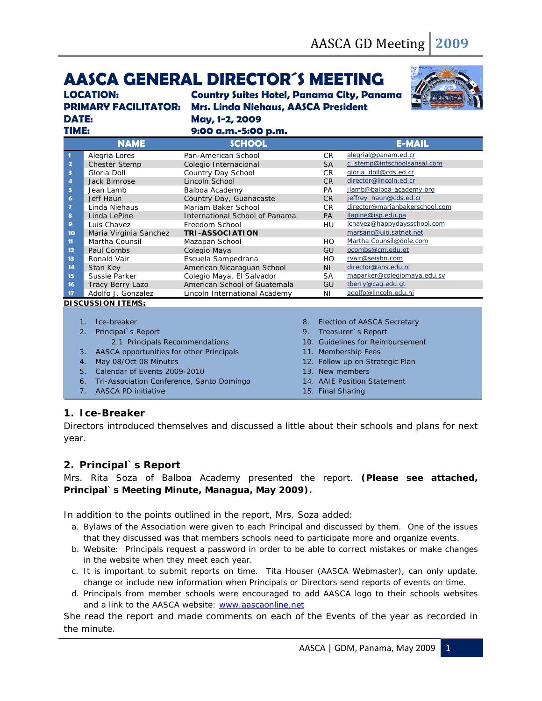# **AASCA GENERAL DIRECTOR´S MEETING**

**DATE: May, 1-2, 2009** 

**LOCATION: Country Suites Hotel, Panama City, Panama PRIMARY FACILITATOR: Mrs. Linda Niehaus, AASCA President** 



| TIME:                          |                               | 9:00 a.m.-5:00 p.m.              |    |           |                                |  |  |
|--------------------------------|-------------------------------|----------------------------------|----|-----------|--------------------------------|--|--|
|                                | <b>NAME</b>                   | <b>SCHOOL</b>                    |    |           | <b>E-MAIL</b>                  |  |  |
| 1                              | Alegria Lores                 | Pan-American School              |    | CR.       | alegrial@panam.ed.cr           |  |  |
| $\overline{\mathbf{2}}$        | Chester Stemp                 | Colegio Internacional            |    | <b>SA</b> | c_stemp@intschoolsansal.com    |  |  |
| 3                              | Gloria Doll                   | Country Day School               |    | <b>CR</b> | gloria doll@cds.ed.cr          |  |  |
| 4                              | Jack Bimrose                  | Lincoln School                   |    | <b>CR</b> | director@lincoln.ed.cr         |  |  |
| 5                              | Jean Lamb                     | Balboa Academy                   |    | <b>PA</b> | jlamb@balboa-academy.org       |  |  |
| 6                              | Jeff Haun                     | Country Day, Guanacaste          |    | <b>CR</b> | jeffrey haun@cds.ed.cr         |  |  |
| 7                              | Linda Niehaus                 | Mariam Baker School              |    | CR.       | director@marianbakerschool.com |  |  |
| 8                              | Linda LePine                  | International School of Panama   |    | <b>PA</b> | llapine@isp.edu.pa             |  |  |
| 9                              | Luis Chavez                   | Freedom School                   |    | HU        | lchavez@happydaysschool.com    |  |  |
| 10                             | Maria Virginia Sanchez        | <b>TRI-ASSOCIATION</b>           |    |           | marsanc@uio.satnet.net         |  |  |
| 11                             | Martha Counsil                | Mazapan School                   |    | HO        | Martha.Counsil@dole.com        |  |  |
| 12                             | Paul Combs                    | Colegio Maya                     |    | GU        | pcombs@cm.edu.gt               |  |  |
| 13                             | Ronald Vair                   | Escuela Sampedrana               |    | HO        | rvair@seishn.com               |  |  |
| 14                             | Stan Key                      | American Nicaraguan School       |    | <b>NI</b> | director@ans.edu.ni            |  |  |
| 15                             | Sussie Parker                 | Colegio Maya, El Salvador        |    | <b>SA</b> | maparker@colegiomaya.edu.sv    |  |  |
| 16                             | Tracy Berry Lazo              | American School of Guatemala     |    | GU        | tberry@cag.edu.gt              |  |  |
| 17                             | Adolfo J. Gonzalez            | Lincoln International Academy    |    | ΝI        | adolfo@lincoln.edu.ni          |  |  |
| <b>DISCUSSION ITEMS:</b>       |                               |                                  |    |           |                                |  |  |
|                                |                               |                                  |    |           |                                |  |  |
|                                | Ice-breaker<br>$\mathbf{1}$ . |                                  | 8. |           | Election of AASCA Secretary    |  |  |
| Principal`s Report<br>2.       |                               | 9.<br>Treasurer's Report         |    |           |                                |  |  |
| 2.1 Principals Recommendations |                               | 10. Guidelines for Reimbursement |    |           |                                |  |  |
|                                |                               |                                  |    |           |                                |  |  |

- 3. AASCA opportunities for other Principals
- 4. May 08/Oct 08 Minutes
- 5. Calendar of Events 2009-2010
- 6. Tri-Association Conference, Santo Domingo
- 7. AASCA PD initiative
- 11. Membership Fees
- 12. Follow up on Strategic Plan
- 13. New members
- 14. AAIE Position Statement
- 15. Final Sharing

## **1. Ice-Breaker**

Directors introduced themselves and discussed a little about their schools and plans for next year.

## **2. Principal`s Report**

Mrs. Rita Soza of Balboa Academy presented the report. **(Please see attached, Principal`s Meeting Minute, Managua, May 2009).** 

In addition to the points outlined in the report, Mrs. Soza added:

- a. Bylaws of the Association were given to each Principal and discussed by them. One of the issues that they discussed was that members schools need to participate more and organize events.
- b. Website: Principals request a password in order to be able to correct mistakes or make changes in the website when they meet each year.
- c. It is important to submit reports on time. Tita Houser (AASCA Webmaster), can only update, change or include new information when Principals or Directors send reports of events on time.
- d. Principals from member schools were encouraged to add AASCA logo to their schools websites and a link to the AASCA website: [www.aascaonline.net](http://www.aascaonline.net/)

She read the report and made comments on each of the Events of the year as recorded in the minute.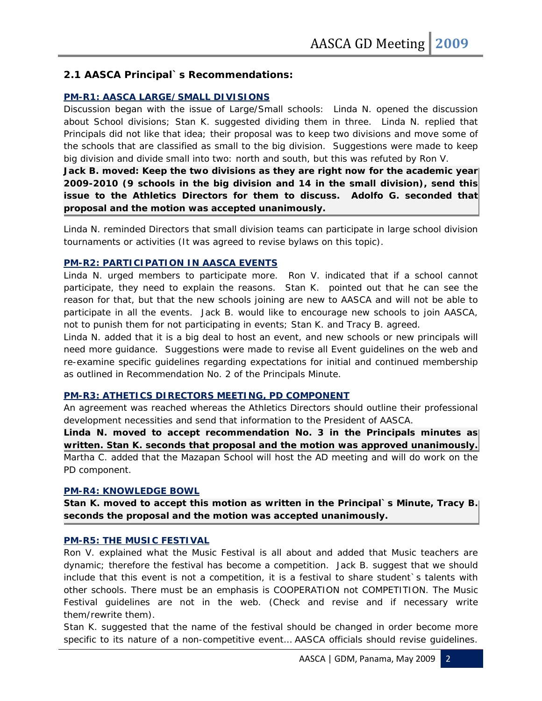# **2.1 AASCA Principal`s Recommendations:**

## **PM-R1: AASCA LARGE/SMALL DIVISIONS**

Discussion began with the issue of Large/Small schools: Linda N. opened the discussion about School divisions; Stan K. suggested dividing them in three. Linda N. replied that Principals did not like that idea; their proposal was to keep two divisions and move some of the schools that are classified as small to the big division. Suggestions were made to keep big division and divide small into two: north and south, but this was refuted by Ron V.

**Jack B. moved: Keep the two divisions as they are right now for the academic year 2009-2010 (9 schools in the big division and 14 in the small division), send this issue to the Athletics Directors for them to discuss. Adolfo G. seconded that proposal and the motion was accepted unanimously.** 

Linda N. reminded Directors that small division teams can participate in large school division tournaments or activities (It was agreed to revise bylaws on this topic).

## **PM-R2: PARTICIPATION IN AASCA EVENTS**

Linda N. urged members to participate more. Ron V. indicated that if a school cannot participate, they need to explain the reasons. Stan K. pointed out that he can see the reason for that, but that the new schools joining are new to AASCA and will not be able to participate in all the events. Jack B. would like to encourage new schools to join AASCA, not to punish them for not participating in events; Stan K. and Tracy B. agreed.

Linda N. added that it is a big deal to host an event, and new schools or new principals will need more guidance. Suggestions were made to revise all Event guidelines on the web and re-examine specific guidelines regarding expectations for initial and continued membership as outlined in Recommendation No. 2 of the Principals Minute.

#### **PM-R3: ATHETICS DIRECTORS MEETING, PD COMPONENT**

An agreement was reached whereas the Athletics Directors should outline their professional development necessities and send that information to the President of AASCA.

**Linda N. moved to accept recommendation No. 3 in the Principals minutes as written. Stan K. seconds that proposal and the motion was approved unanimously.**  Martha C. added that the Mazapan School will host the AD meeting and will do work on the PD component.

#### **PM-R4: KNOWLEDGE BOWL**

**Stan K. moved to accept this motion as written in the Principal`s Minute, Tracy B. seconds the proposal and the motion was accepted unanimously.** 

## **PM-R5: THE MUSIC FESTIVAL**

Ron V. explained what the Music Festival is all about and added that Music teachers are dynamic; therefore the festival has become a competition. Jack B. suggest that we should include that this event is not a competition, it is a festival to share student's talents with other schools. There must be an emphasis is COOPERATION not COMPETITION. The Music Festival guidelines are not in the web. (Check and revise and if necessary write them/rewrite them).

Stan K. suggested that the name of the festival should be changed in order become more specific to its nature of a non-competitive event… AASCA officials should revise guidelines.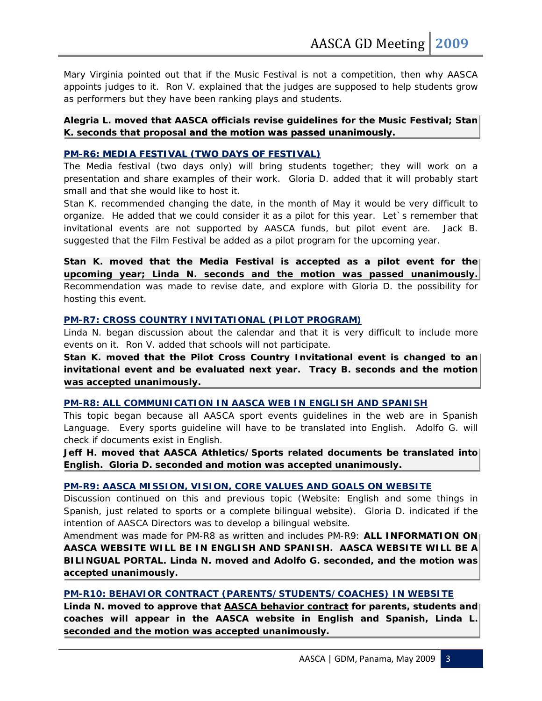Mary Virginia pointed out that if the Music Festival is not a competition, then why AASCA appoints judges to it. Ron V. explained that the judges are supposed to help students grow as performers but they have been ranking plays and students.

## **Alegria L. moved that AASCA officials revise guidelines for the Music Festival; Stan K. seconds that proposal and the motion was passed unanimously.**

## **PM-R6: MEDIA FESTIVAL (TWO DAYS OF FESTIVAL)**

The Media festival (two days only) will bring students together; they will work on a presentation and share examples of their work. Gloria D. added that it will probably start small and that she would like to host it.

Stan K. recommended changing the date, in the month of May it would be very difficult to organize. He added that we could consider it as a pilot for this year. Let`s remember that invitational events are not supported by AASCA funds, but pilot event are. Jack B. suggested that the Film Festival be added as a pilot program for the upcoming year.

Stan K. moved that the Media Festival is accepted as a pilot event for the **upcoming year; Linda N. seconds and the motion was passed unanimously.** Recommendation was made to revise date, and explore with Gloria D. the possibility for hosting this event.

# **PM-R7: CROSS COUNTRY INVITATIONAL (PILOT PROGRAM)**

Linda N. began discussion about the calendar and that it is very difficult to include more events on it. Ron V. added that schools will not participate.

**Stan K. moved that the Pilot Cross Country Invitational event is changed to an invitational event and be evaluated next year. Tracy B. seconds and the motion was accepted unanimously.** 

#### **PM-R8: ALL COMMUNICATION IN AASCA WEB IN ENGLISH AND SPANISH**

This topic began because all AASCA sport events guidelines in the web are in Spanish Language. Every sports guideline will have to be translated into English. Adolfo G. will check if documents exist in English.

**Jeff H. moved that AASCA Athletics/Sports related documents be translated into English. Gloria D. seconded and motion was accepted unanimously.** 

## **PM-R9: AASCA MISSION, VISION, CORE VALUES AND GOALS ON WEBSITE**

Discussion continued on this and previous topic (Website: English and some things in Spanish, just related to sports or a complete bilingual website). Gloria D. indicated if the intention of AASCA Directors was to develop a bilingual website.

Amendment was made for PM-R8 as written and includes PM-R9: **ALL INFORMATION ON AASCA WEBSITE WILL BE IN ENGLISH AND SPANISH. AASCA WEBSITE WILL BE A BILINGUAL PORTAL. Linda N. moved and Adolfo G. seconded, and the motion was accepted unanimously.** 

## **PM-R10: BEHAVIOR CONTRACT (PARENTS/STUDENTS/COACHES) IN WEBSITE**

**Linda N. moved to approve that AASCA behavior contract for parents, students and coaches will appear in the AASCA website in English and Spanish, Linda L. seconded and the motion was accepted unanimously.**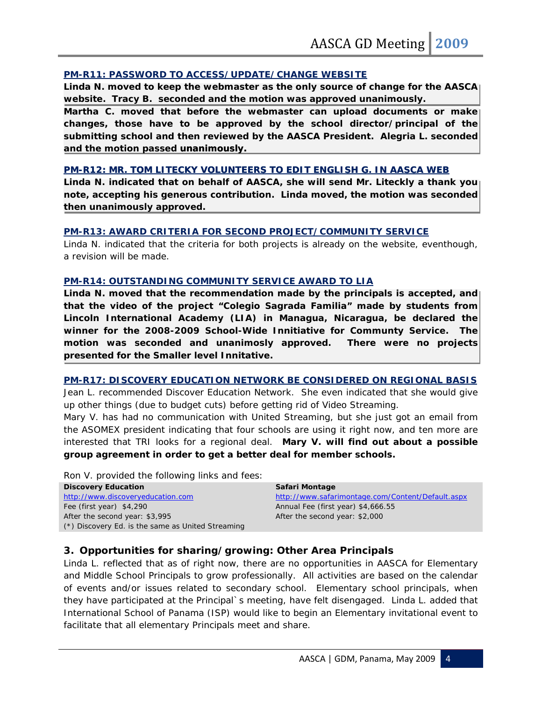## **PM-R11: PASSWORD TO ACCESS/UPDATE/CHANGE WEBSITE**

**Linda N. moved to keep the webmaster as the only source of change for the AASCA website. Tracy B. seconded and the motion was approved unanimously.** 

**Martha C. moved that before the webmaster can upload documents or make changes, those have to be approved by the school director/principal of the submitting school and then reviewed by the AASCA President. Alegria L. seconded and the motion passed unanimously.** 

## **PM-R12: MR. TOM LITECKY VOLUNTEERS TO EDIT ENGLISH G. IN AASCA WEB**

**Linda N. indicated that on behalf of AASCA, she will send Mr. Liteckly a thank you note, accepting his generous contribution. Linda moved, the motion was seconded then unanimously approved.** 

## **PM-R13: AWARD CRITERIA FOR SECOND PROJECT/COMMUNITY SERVICE**

Linda N. indicated that the criteria for both projects is already on the website, eventhough, a revision will be made.

#### **PM-R14: OUTSTANDING COMMUNITY SERVICE AWARD TO LIA**

**Linda N. moved that the recommendation made by the principals is accepted, and that the video of the project "Colegio Sagrada Familia" made by students from Lincoln International Academy (LIA) in Managua, Nicaragua, be declared the winner for the 2008-2009 School-Wide Innitiative for Communty Service. The motion was seconded and unanimosly approved. There were no projects presented for the Smaller level Innitative.** 

## **PM-R17: DISCOVERY EDUCATION NETWORK BE CONSIDERED ON REGIONAL BASIS**

Jean L. recommended Discover Education Network. She even indicated that she would give up other things (due to budget cuts) before getting rid of Video Streaming.

Mary V. has had no communication with United Streaming, but she just got an email from the ASOMEX president indicating that four schools are using it right now, and ten more are interested that TRI looks for a regional deal. **Mary V. will find out about a possible group agreement in order to get a better deal for member schools.** 

Ron V. provided the following links and fees:

| <b>Discovery Education</b>                        | Safari Montage                                    |
|---------------------------------------------------|---------------------------------------------------|
| http://www.discoveryeducation.com                 | http://www.safarimontage.com/Content/Default.aspx |
| Fee (first year) $$4,290$                         | Annual Fee (first year) \$4,666.55                |
| After the second year: \$3,995                    | After the second year: \$2,000                    |
| (*) Discovery Ed. is the same as United Streaming |                                                   |

# **3. Opportunities for sharing/growing: Other Area Principals**

Linda L. reflected that as of right now, there are no opportunities in AASCA for Elementary and Middle School Principals to grow professionally. All activities are based on the calendar of events and/or issues related to secondary school. Elementary school principals, when they have participated at the Principal`s meeting, have felt disengaged. Linda L. added that International School of Panama (ISP) would like to begin an Elementary invitational event to facilitate that all elementary Principals meet and share.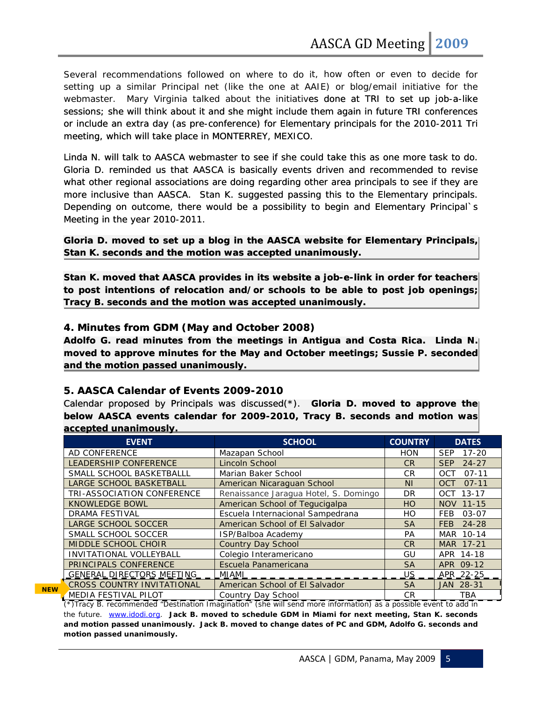Several recommendations followed on where to do it, how often or even to decide for<br>setting up a similar Principal net (like the one at AAIE) or blog/email initiative for the<br>webmaster. Mary Virginia talked about the init setting up a similar Principal net (like the one at AAIE) or blog/email initiative for the webmaster. Mary Virginia talked about the initiatives done at TRI to set up job-a-like sessions; she will think about it and she might include them again in future TRI conferences or include an extra day (as pre-conference) for Elementary principals for the 2010-2011 Tri meeting, which will take place in MONTERREY, MEXICO.

Linda N. will talk to AASCA webmaster to see if she could take this as one more task to do. Gloria D. reminded us that AASCA is basically events driven and recommended to revise what other regional associations are doing regarding other area principals to see if they are more inclusive than AASCA. Stan K. suggested passing this to the Elementary principals. Depending on outcome, there would be a possibility to begin and Elementary Principal`s Meeting in the year 2010-2011.

**Gloria D. moved to set up a blog in the AASCA website for Elementary Principals, Stan K. seconds and the motion was accepted unanimously.**

**Stan K. moved that AASCA provides in its website a job-e-link in order for teachers to post intentions of relocation and/or schools to be able to post job openings; Tracy B. seconds and the motion was accepted unanimously.** 

## **4. Minutes from GDM (May and October 2008)**

**Adolfo G. read minutes from the meetings in Antigua and Costa Rica. Linda N. moved to approve minutes for the May and October meetings; Sussie P. seconded and the motion passed unanimously.** 

# **5. AASCA Calendar of Events 2009-2010**

Calendar proposed by Principals was discussed(\*). **Gloria D. moved to approve the below AASCA events calendar for 2009-2010, Tracy B. seconds and motion was accepted unanimously.** 

| <b>EVENT</b>                      | <b>SCHOOL</b>                         | <b>COUNTRY</b> | <b>DATES</b>            |
|-----------------------------------|---------------------------------------|----------------|-------------------------|
| AD CONFERENCE                     | Mazapan School                        | <b>HON</b>     | <b>SEP</b><br>$17 - 20$ |
| <b>LEADERSHIP CONFERENCE</b>      | Lincoln School                        | CR.            | <b>SEP</b><br>$24 - 27$ |
| SMALL SCHOOL BASKETBALLL          | Marian Baker School                   | CR.            | $07-11$<br><b>OCT</b>   |
| <b>LARGE SCHOOL BASKETBALL</b>    | American Nicaraguan School            | N <sub>1</sub> | $07-11$<br><b>OCT</b>   |
| <b>TRI-ASSOCIATION CONFERENCE</b> | Renaissance Jaragua Hotel, S. Domingo | <b>DR</b>      | OCT 13-17               |
| <b>KNOWLEDGE BOWL</b>             | American School of Tequcigalpa        | <b>HO</b>      | NOV 11-15               |
| <b>DRAMA FESTIVAL</b>             | Escuela Internacional Sampedrana      | HO             | <b>FEB</b><br>$03 - 07$ |
| <b>LARGE SCHOOL SOCCER</b>        | American School of El Salvador        | <b>SA</b>      | 24-28<br>FEB            |
| SMALL SCHOOL SOCCER               | ISP/Balboa Academy                    | <b>PA</b>      | MAR 10-14               |
| <b>MIDDLE SCHOOL CHOIR</b>        | <b>Country Day School</b>             | <b>CR</b>      | MAR 17-21               |
| INVITATIONAL VOLLEYBALL           | Colegio Interamericano                | GU             | APR 14-18               |
| PRINCIPALS CONFERENCE             | Escuela Panamericana                  | <b>SA</b>      | APR 09-12               |
| <u>GENERAL DIRECTORS MEETING</u>  | MIAMI                                 | <b>US</b>      | APR 22-25               |
| <b>CROSS COUNTRY INVITATIONAL</b> | American School of El Salvador        | <b>SA</b>      | JAN 28-31               |
| MEDIA FESTIVAL PILOT              | Country Day School                    | <b>CR</b>      | <b>TBA</b>              |

**NEW**

(\*)Tracy B. recommended "Destination Imagination" (she will send more information) as a possible event to add in the future. [www.idodi.org](http://www.idodi.org/). **Jack B. moved to schedule GDM in Miami for next meeting, Stan K. seconds and motion passed unanimously. Jack B. moved to change dates of PC and GDM, Adolfo G. seconds and motion passed unanimously.** 

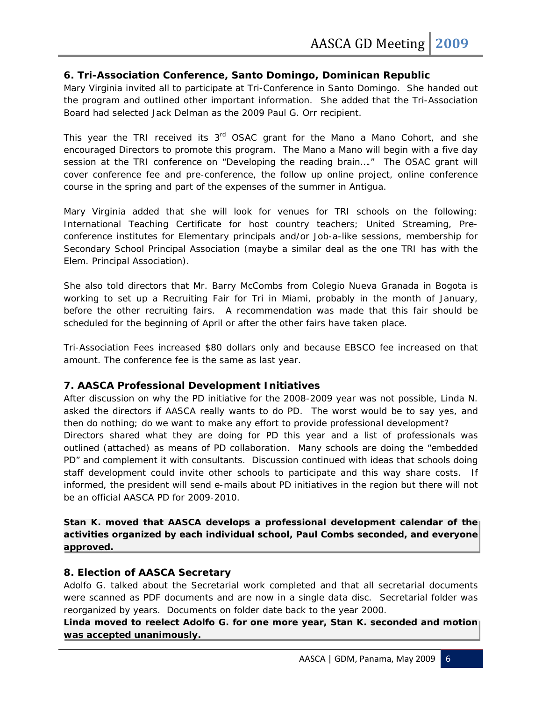# **6. Tri-Association Conference, Santo Domingo, Dominican Republic**

Mary Virginia invited all to participate at Tri-Conference in Santo Domingo. She handed out the program and outlined other important information. She added that the Tri-Association Board had selected Jack Delman as the 2009 Paul G. Orr recipient.

This year the TRI received its  $3<sup>rd</sup>$  OSAC grant for the Mano a Mano Cohort, and she encouraged Directors to promote this program. The Mano a Mano will begin with a five day session at the TRI conference on "Developing the reading brain…." The OSAC grant will cover conference fee and pre-conference, the follow up online project, online conference course in the spring and part of the expenses of the summer in Antigua.

Mary Virginia added that she will look for venues for TRI schools on the following: International Teaching Certificate for host country teachers; United Streaming, Preconference institutes for Elementary principals and/or Job-a-like sessions, membership for Secondary School Principal Association (maybe a similar deal as the one TRI has with the Elem. Principal Association).

She also told directors that Mr. Barry McCombs from Colegio Nueva Granada in Bogota is working to set up a Recruiting Fair for Tri in Miami, probably in the month of January, before the other recruiting fairs. A recommendation was made that this fair should be scheduled for the beginning of April or after the other fairs have taken place.

Tri-Association Fees increased \$80 dollars only and because EBSCO fee increased on that amount. The conference fee is the same as last year.

# **7. AASCA Professional Development Initiatives**

After discussion on why the PD initiative for the 2008-2009 year was not possible, Linda N. asked the directors if AASCA really wants to do PD. The worst would be to say yes, and then do nothing; do we want to make any effort to provide professional development? Directors shared what they are doing for PD this year and a list of professionals was outlined (attached) as means of PD collaboration. Many schools are doing the "embedded PD" and complement it with consultants. Discussion continued with ideas that schools doing staff development could invite other schools to participate and this way share costs. If

informed, the president will send e-mails about PD initiatives in the region but there will not be an official AASCA PD for 2009-2010.

**Stan K. moved that AASCA develops a professional development calendar of the activities organized by each individual school, Paul Combs seconded, and everyone approved.** 

## **8. Election of AASCA Secretary**

Adolfo G. talked about the Secretarial work completed and that all secretarial documents were scanned as PDF documents and are now in a single data disc. Secretarial folder was reorganized by years. Documents on folder date back to the year 2000.

**Linda moved to reelect Adolfo G. for one more year, Stan K. seconded and motion was accepted unanimously.**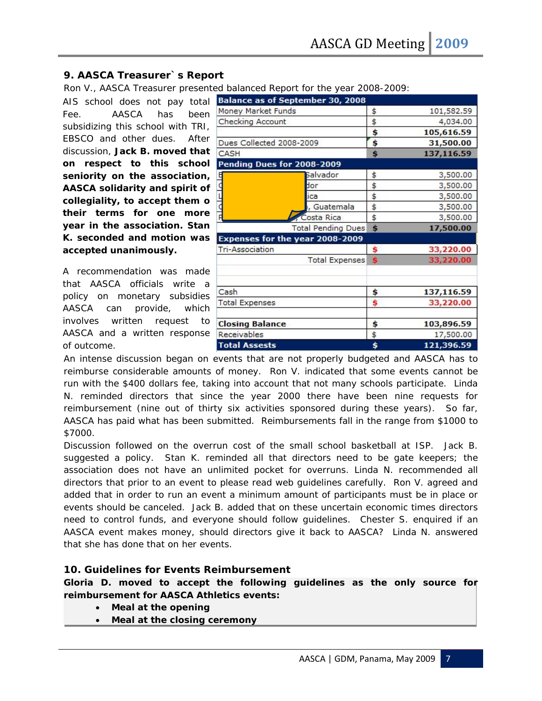# **9. AASCA Treasurer`s Report**

Ron V., AASCA Treasurer presented balanced Report for the year 2008-2009:

AIS school does not pay total Fee. AASCA has been subsidizing this school with TRI, EBSCO and other dues. After discussion, **Jack B. moved that on respect to this school seniority on the association, AASCA solidarity and spirit of collegiality, to accept them o their terms for one more year in the association. Stan K. seconded and motion was accepted unanimously.**

A recommendation was made that AASCA officials write a policy on monetary subsidies AASCA can provide, which involves written request to AASCA and a written response of outcome.

| $\frac{1}{2}$<br><b>Balance as of September 30, 2008</b> |                           |            |            |
|----------------------------------------------------------|---------------------------|------------|------------|
| Money Market Funds                                       | \$                        | 101,582.59 |            |
| Checking Account                                         |                           | \$         | 4,034.00   |
|                                                          |                           | \$         | 105,616.59 |
| Dues Collected 2008-2009                                 | \$                        | 31,500.00  |            |
| CASH                                                     | Ś                         | 137,116.59 |            |
| Pending Dues for 2008-2009                               |                           |            |            |
|                                                          | Salvador                  | \$         | 3,500.00   |
| ¢                                                        | dor                       | \$         | 3,500.00   |
|                                                          | lica                      | \$         | 3,500.00   |
| d                                                        | , Guatemala               | \$         | 3,500.00   |
| F                                                        | Costa Rica                | \$         | 3,500.00   |
|                                                          | <b>Total Pending Dues</b> | Ś          | 17,500.00  |
| Expenses for the year 2008-2009                          |                           |            |            |
| <b>Tri-Association</b>                                   | \$                        | 33,220.00  |            |
|                                                          | <b>Total Expenses</b>     | Ś          | 33,220.00  |
|                                                          |                           |            |            |
| Cash                                                     | \$                        | 137,116.59 |            |
| <b>Total Expenses</b>                                    | \$                        | 33,220.00  |            |
| <b>Closing Balance</b>                                   | \$                        | 103,896.59 |            |
| Receivables                                              | \$                        | 17,500.00  |            |
| <b>Total Assests</b>                                     | \$                        | 121,396.59 |            |

An intense discussion began on events that are not properly budgeted and AASCA has to reimburse considerable amounts of money. Ron V. indicated that some events cannot be run with the \$400 dollars fee, taking into account that not many schools participate. Linda N. reminded directors that since the year 2000 there have been nine requests for reimbursement (nine out of thirty six activities sponsored during these years). So far, AASCA has paid what has been submitted. Reimbursements fall in the range from \$1000 to \$7000.

Discussion followed on the overrun cost of the small school basketball at ISP. Jack B. suggested a policy. Stan K. reminded all that directors need to be gate keepers; the association does not have an unlimited pocket for overruns. Linda N. recommended all directors that prior to an event to please read web guidelines carefully. Ron V. agreed and added that in order to run an event a minimum amount of participants must be in place or events should be canceled. Jack B. added that on these uncertain economic times directors need to control funds, and everyone should follow guidelines. Chester S. enquired if an AASCA event makes money, should directors give it back to AASCA? Linda N. answered that she has done that on her events.

# **10. Guidelines for Events Reimbursement**

**Gloria D. moved to accept the following guidelines as the only source for reimbursement for AASCA Athletics events:** 

- **Meal at the opening**
- **Meal at the closing ceremony**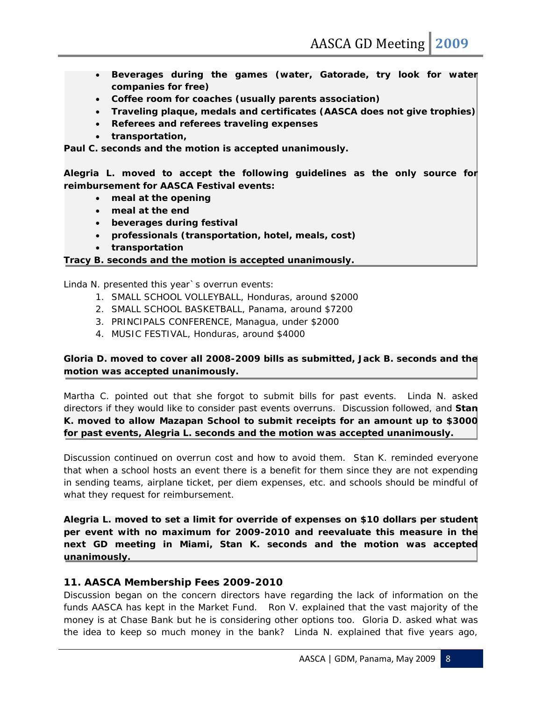- **•** Beverages during the games (water, Gatorade, try look for waten **companies for free)**
- **Coffee room for coaches (usually parents association)**
- **Traveling plaque, medals and certificates (AASCA does not give trophies)**
- **Referees and referees traveling expenses**
- **transportation,**

**Paul C. seconds and the motion is accepted unanimously.** 

**Alegria L. moved to accept the following guidelines as the only source for reimbursement for AASCA Festival events:** 

- **meal at the opening**
- **meal at the end**
- **beverages during festival**
- **professionals (transportation, hotel, meals, cost)**
- **transportation**

**Tracy B. seconds and the motion is accepted unanimously.** 

Linda N. presented this year`s overrun events:

- 1. SMALL SCHOOL VOLLEYBALL, Honduras, around \$2000
- 2. SMALL SCHOOL BASKETBALL, Panama, around \$7200
- 3. PRINCIPALS CONFERENCE, Managua, under \$2000
- 4. MUSIC FESTIVAL, Honduras, around \$4000

# **Gloria D. moved to cover all 2008-2009 bills as submitted, Jack B. seconds and the motion was accepted unanimously.**

Martha C. pointed out that she forgot to submit bills for past events. Linda N. asked directors if they would like to consider past events overruns. Discussion followed, and **Stan K. moved to allow Mazapan School to submit receipts for an amount up to \$3000 for past events, Alegria L. seconds and the motion was accepted unanimously.** 

Discussion continued on overrun cost and how to avoid them. Stan K. reminded everyone that when a school hosts an event there is a benefit for them since they are not expending in sending teams, airplane ticket, per diem expenses, etc. and schools should be mindful of what they request for reimbursement.

**Alegria L. moved to set a limit for override of expenses on \$10 dollars per student per event with no maximum for 2009-2010 and reevaluate this measure in the next GD meeting in Miami, Stan K. seconds and the motion was accepted unanimously.** 

# **11. AASCA Membership Fees 2009-2010**

Discussion began on the concern directors have regarding the lack of information on the funds AASCA has kept in the Market Fund. Ron V. explained that the vast majority of the money is at Chase Bank but he is considering other options too. Gloria D. asked what was the idea to keep so much money in the bank? Linda N. explained that five years ago,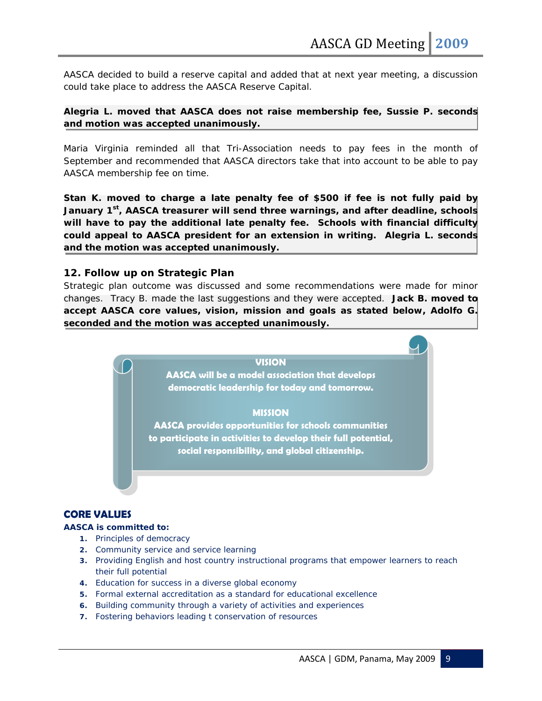AASCA decided to build a reserve capital and added that at next year meeting, a discussion could take place to address the AASCA Reserve Capital.

# **Alegria L. moved that AASCA does not raise membership fee, Sussie P. seconds and motion was accepted unanimously.**

Maria Virginia reminded all that Tri-Association needs to pay fees in the month of September and recommended that AASCA directors take that into account to be able to pay AASCA membership fee on time.

**Stan K. moved to charge a late penalty fee of \$500 if fee is not fully paid by January 1st, AASCA treasurer will send three warnings, and after deadline, schools will have to pay the additional late penalty fee. Schools with financial difficulty could appeal to AASCA president for an extension in writing. Alegria L. seconds and the motion was accepted unanimously.** 

# **12. Follow up on Strategic Plan**

Strategic plan outcome was discussed and some recommendations were made for minor changes. Tracy B. made the last suggestions and they were accepted. **Jack B. moved to accept AASCA core values, vision, mission and goals as stated below, Adolfo G. seconded and the motion was accepted unanimously.** 



# **CORE VALUES**

#### **AASCA is committed to:**

- **1.** Principles of democracy
- **2.** Community service and service learning
- **3.** Providing English and host country instructional programs that empower learners to reach their full potential
- **4.** Education for success in a diverse global economy
- **5.** Formal external accreditation as a standard for educational excellence
- **6.** Building community through a variety of activities and experiences
- **7.** Fostering behaviors leading t conservation of resources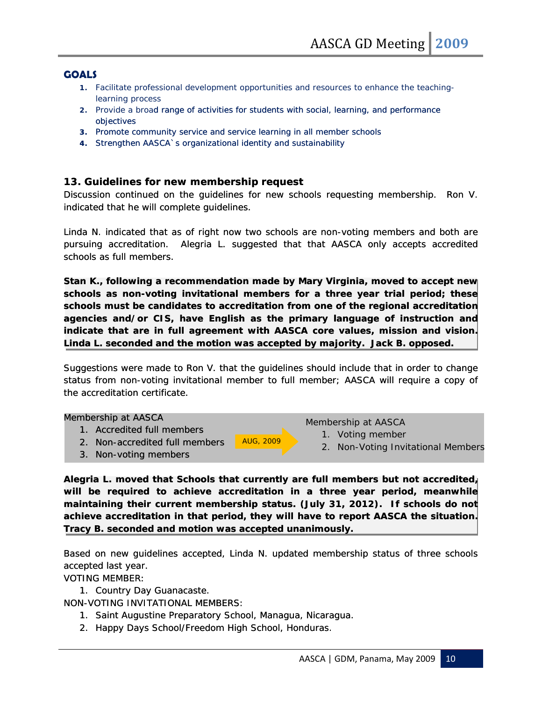# **GOALS**

- 1. Facilitate professional development opportunities and resources to enhance the teachinglearning process
- 2. Provide a broad range of activities for students with social, learning, and performance objectives
- **3.** Promote community service and service learning in all member schools
- **4.** Strengthen AASCA`s organizational identity and sustainability

# **1 3. Guidelines for new membership request**

Discussion continued on the guidelines for new schools requesting membership. Ron V. indicated that he will complete guidelines.

Linda N. indicated that as of right now two schools are non-voting members and both are pursuing accreditation. Alegria L. suggested that that AASCA only accepts accredited schools as full members.

Stan K., following a recommendation made by Mary Virginia, moved to accept new **schools as non-voting invitational members for a three year trial period; these schools must be candidates to accreditation from one of the regional accreditation agencies and/or CIS, have English as the primary language of instruction and indicate that are in full agreement with AASCA core values, mission and vision. Linda L. seconded and the motion was accepted by majority. Jack B. opposed.** 

Suggestions were made to Ron V. that the guidelines should include that in order to change status from non-voting invitational member to full member; AASCA will require a copy of the accreditation certificate.

#### Membership at AASCA

- 1. Accredited full members
- 2. Non-accredited full members **AUG, 2009** 2. Non-Voting Invit AUG, 2009
- 3. Non-voting members

Membership at AASCA

- 1. Voting member
- 2. Non-Voting Invitational Members

**Alegria L. moved that Schools that currently are full members but not accredited, will be required to achieve accreditation in a three year period, meanwhile maintaining their current membership status. (July 31, 2012). If schools do not achieve accreditation in that period, they will have to report AASCA the situation. Tracy B. seconded and motion was accepted unanimously.** 

Based on new guidelines accepted, Linda N. updated membership status of three schools accepted last year.

VOTING MEMBER:

1. Country Day Guanacaste.

NON-VOTING INVITATIONAL MEMBERS:

- 1. Saint Augustine Preparatory School, Managua, Nicaragua.
- 2. Happy Days School/Freedom High School, Honduras.